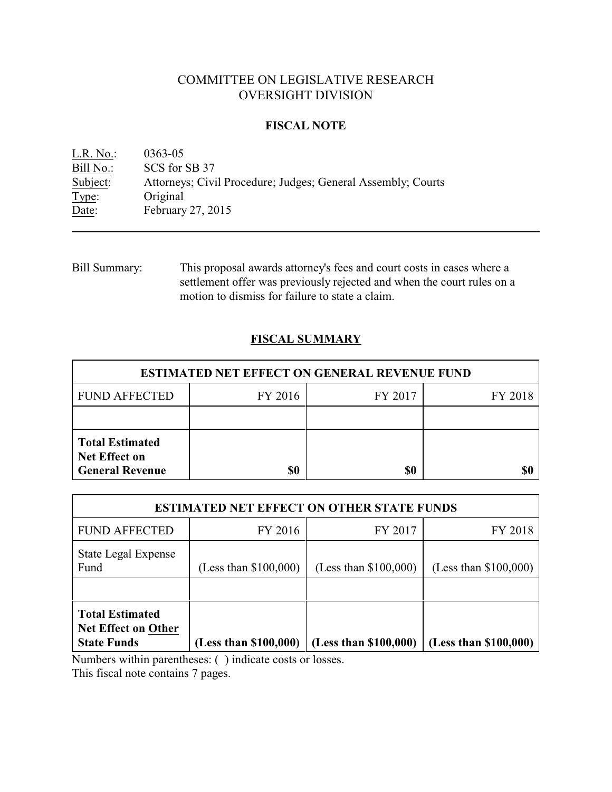# COMMITTEE ON LEGISLATIVE RESEARCH OVERSIGHT DIVISION

# **FISCAL NOTE**

<u>L.R. No.</u>: 0363-05<br>Bill No.: SCS for SCS for SB 37 Subject: Attorneys; Civil Procedure; Judges; General Assembly; Courts Type: Original Date: February 27, 2015

Bill Summary: This proposal awards attorney's fees and court costs in cases where a settlement offer was previously rejected and when the court rules on a motion to dismiss for failure to state a claim.

# **FISCAL SUMMARY**

| <b>ESTIMATED NET EFFECT ON GENERAL REVENUE FUND</b>                      |           |         |         |  |
|--------------------------------------------------------------------------|-----------|---------|---------|--|
| <b>FUND AFFECTED</b>                                                     | FY 2016   | FY 2017 | FY 2018 |  |
|                                                                          |           |         |         |  |
| <b>Total Estimated</b><br><b>Net Effect on</b><br><b>General Revenue</b> | <b>SO</b> | \$0     |         |  |

| <b>ESTIMATED NET EFFECT ON OTHER STATE FUNDS</b>                           |                         |                         |                       |  |
|----------------------------------------------------------------------------|-------------------------|-------------------------|-----------------------|--|
| <b>FUND AFFECTED</b>                                                       | FY 2016                 | FY 2017                 | FY 2018               |  |
| State Legal Expense<br>Fund                                                | (Less than $$100,000$ ) | (Less than $$100,000$ ) | (Less than \$100,000) |  |
| <b>Total Estimated</b><br><b>Net Effect on Other</b><br><b>State Funds</b> | (Less than \$100,000)   | (Less than \$100,000)   | (Less than \$100,000) |  |

Numbers within parentheses: ( ) indicate costs or losses.

This fiscal note contains 7 pages.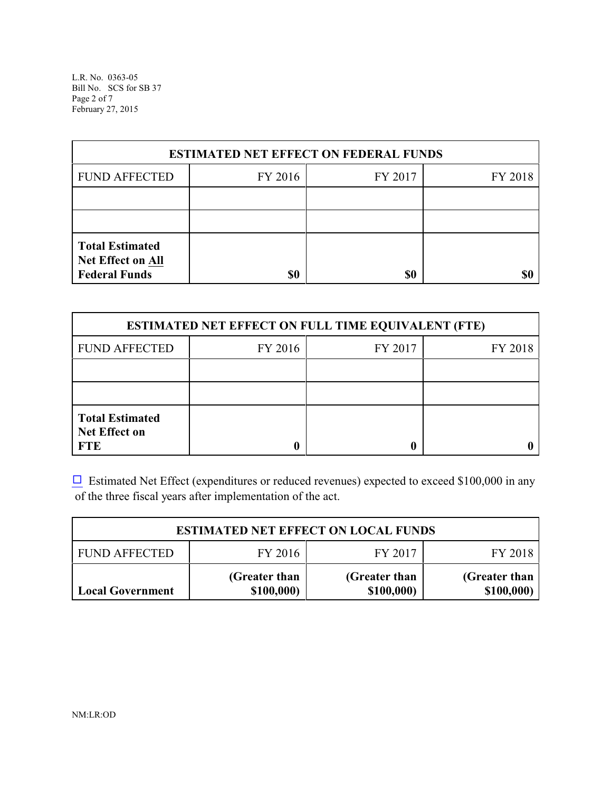L.R. No. 0363-05 Bill No. SCS for SB 37 Page 2 of 7 February 27, 2015

| <b>ESTIMATED NET EFFECT ON FEDERAL FUNDS</b>                        |         |         |         |  |  |
|---------------------------------------------------------------------|---------|---------|---------|--|--|
| <b>FUND AFFECTED</b>                                                | FY 2016 | FY 2017 | FY 2018 |  |  |
|                                                                     |         |         |         |  |  |
|                                                                     |         |         |         |  |  |
| <b>Total Estimated</b><br>Net Effect on All<br><b>Federal Funds</b> | \$0     | \$0     | \$C     |  |  |

| <b>ESTIMATED NET EFFECT ON FULL TIME EQUIVALENT (FTE)</b>    |         |         |         |  |  |
|--------------------------------------------------------------|---------|---------|---------|--|--|
| <b>FUND AFFECTED</b>                                         | FY 2016 | FY 2017 | FY 2018 |  |  |
|                                                              |         |         |         |  |  |
|                                                              |         |         |         |  |  |
| <b>Total Estimated</b><br><b>Net Effect on</b><br><b>FTE</b> |         |         |         |  |  |

 $\Box$  Estimated Net Effect (expenditures or reduced revenues) expected to exceed \$100,000 in any of the three fiscal years after implementation of the act.

| <b>ESTIMATED NET EFFECT ON LOCAL FUNDS</b> |                             |                             |                             |  |
|--------------------------------------------|-----------------------------|-----------------------------|-----------------------------|--|
| <b>FUND AFFECTED</b>                       | FY 2016                     | FY 2017                     | FY 2018                     |  |
| Local Government                           | (Greater than<br>\$100,000) | (Greater than<br>\$100,000) | (Greater than<br>\$100,000) |  |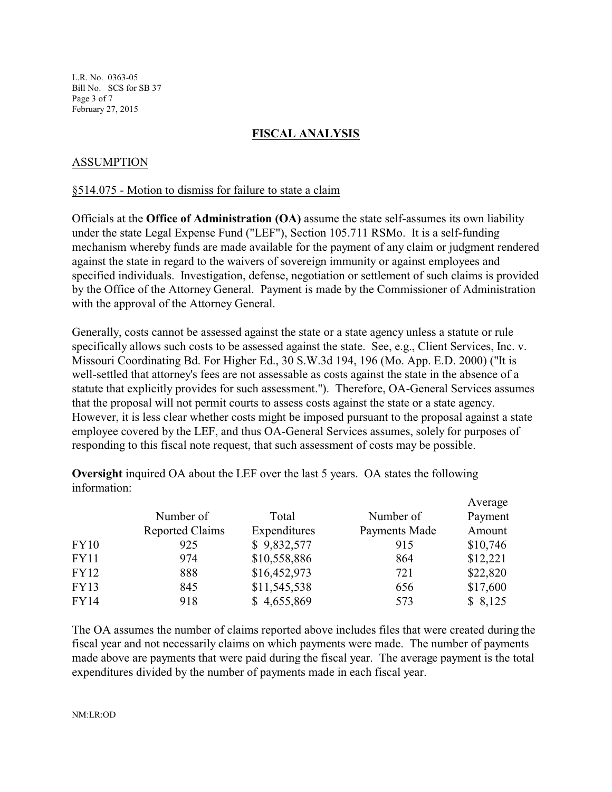L.R. No. 0363-05 Bill No. SCS for SB 37 Page 3 of 7 February 27, 2015

# **FISCAL ANALYSIS**

# ASSUMPTION

## §514.075 - Motion to dismiss for failure to state a claim

Officials at the **Office of Administration (OA)** assume the state self-assumes its own liability under the state Legal Expense Fund ("LEF"), Section 105.711 RSMo. It is a self-funding mechanism whereby funds are made available for the payment of any claim or judgment rendered against the state in regard to the waivers of sovereign immunity or against employees and specified individuals. Investigation, defense, negotiation or settlement of such claims is provided by the Office of the Attorney General. Payment is made by the Commissioner of Administration with the approval of the Attorney General.

Generally, costs cannot be assessed against the state or a state agency unless a statute or rule specifically allows such costs to be assessed against the state. See, e.g., Client Services, Inc. v. Missouri Coordinating Bd. For Higher Ed., 30 S.W.3d 194, 196 (Mo. App. E.D. 2000) ("It is well-settled that attorney's fees are not assessable as costs against the state in the absence of a statute that explicitly provides for such assessment."). Therefore, OA-General Services assumes that the proposal will not permit courts to assess costs against the state or a state agency. However, it is less clear whether costs might be imposed pursuant to the proposal against a state employee covered by the LEF, and thus OA-General Services assumes, solely for purposes of responding to this fiscal note request, that such assessment of costs may be possible.

**Oversight** inquired OA about the LEF over the last 5 years. OA states the following information:

|             |                        |              |               | Average  |
|-------------|------------------------|--------------|---------------|----------|
|             | Number of              | Total        | Number of     | Payment  |
|             | <b>Reported Claims</b> | Expenditures | Payments Made | Amount   |
| <b>FY10</b> | 925                    | \$9,832,577  | 915           | \$10,746 |
| <b>FY11</b> | 974                    | \$10,558,886 | 864           | \$12,221 |
| FY12        | 888                    | \$16,452,973 | 721           | \$22,820 |
| <b>FY13</b> | 845                    | \$11,545,538 | 656           | \$17,600 |
| <b>FY14</b> | 918                    | \$4,655,869  | 573           | \$8,125  |

The OA assumes the number of claims reported above includes files that were created during the fiscal year and not necessarily claims on which payments were made. The number of payments made above are payments that were paid during the fiscal year. The average payment is the total expenditures divided by the number of payments made in each fiscal year.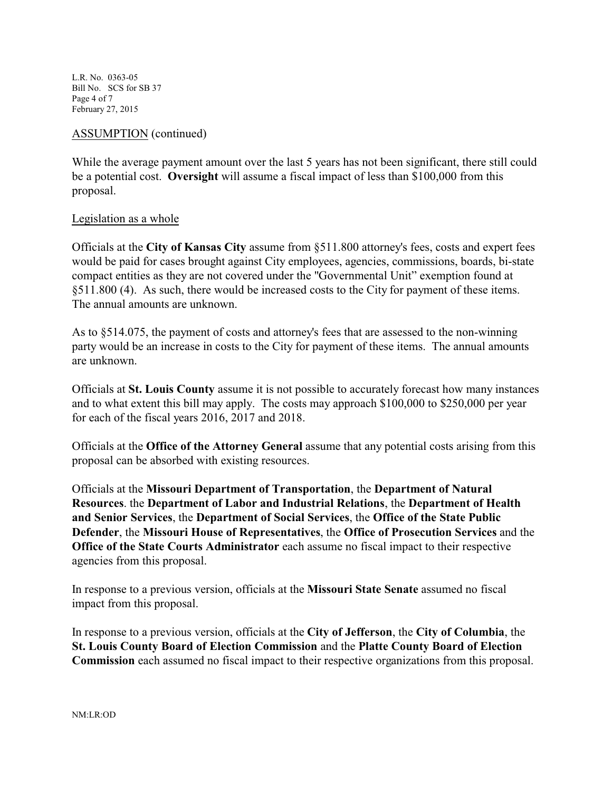L.R. No. 0363-05 Bill No. SCS for SB 37 Page 4 of 7 February 27, 2015

## ASSUMPTION (continued)

While the average payment amount over the last 5 years has not been significant, there still could be a potential cost. **Oversight** will assume a fiscal impact of less than \$100,000 from this proposal.

## Legislation as a whole

Officials at the **City of Kansas City** assume from §511.800 attorney's fees, costs and expert fees would be paid for cases brought against City employees, agencies, commissions, boards, bi-state compact entities as they are not covered under the "Governmental Unit" exemption found at §511.800 (4). As such, there would be increased costs to the City for payment of these items. The annual amounts are unknown.

As to §514.075, the payment of costs and attorney's fees that are assessed to the non-winning party would be an increase in costs to the City for payment of these items. The annual amounts are unknown.

Officials at **St. Louis County** assume it is not possible to accurately forecast how many instances and to what extent this bill may apply. The costs may approach \$100,000 to \$250,000 per year for each of the fiscal years 2016, 2017 and 2018.

Officials at the **Office of the Attorney General** assume that any potential costs arising from this proposal can be absorbed with existing resources.

Officials at the **Missouri Department of Transportation**, the **Department of Natural Resources**. the **Department of Labor and Industrial Relations**, the **Department of Health and Senior Services**, the **Department of Social Services**, the **Office of the State Public Defender**, the **Missouri House of Representatives**, the **Office of Prosecution Services** and the **Office of the State Courts Administrator** each assume no fiscal impact to their respective agencies from this proposal.

In response to a previous version, officials at the **Missouri State Senate** assumed no fiscal impact from this proposal.

In response to a previous version, officials at the **City of Jefferson**, the **City of Columbia**, the **St. Louis County Board of Election Commission** and the **Platte County Board of Election Commission** each assumed no fiscal impact to their respective organizations from this proposal.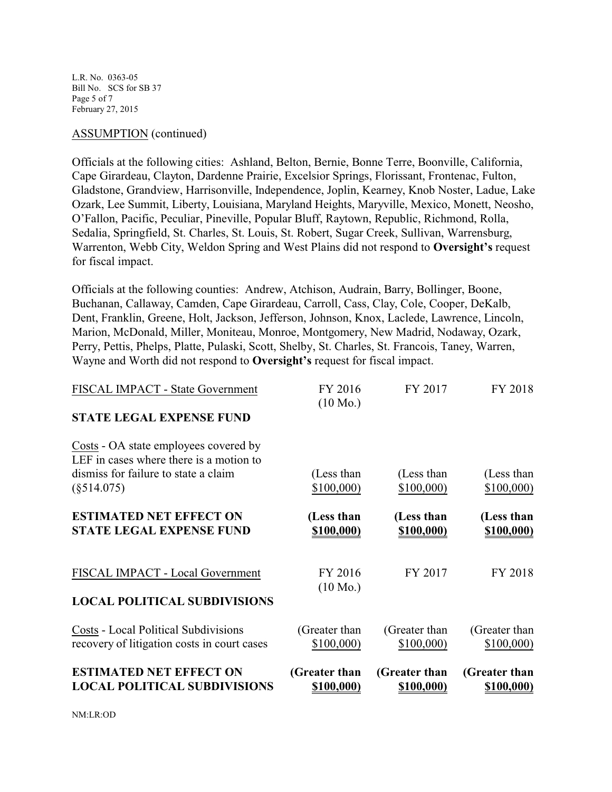L.R. No. 0363-05 Bill No. SCS for SB 37 Page 5 of 7 February 27, 2015

## ASSUMPTION (continued)

Officials at the following cities: Ashland, Belton, Bernie, Bonne Terre, Boonville, California, Cape Girardeau, Clayton, Dardenne Prairie, Excelsior Springs, Florissant, Frontenac, Fulton, Gladstone, Grandview, Harrisonville, Independence, Joplin, Kearney, Knob Noster, Ladue, Lake Ozark, Lee Summit, Liberty, Louisiana, Maryland Heights, Maryville, Mexico, Monett, Neosho, O'Fallon, Pacific, Peculiar, Pineville, Popular Bluff, Raytown, Republic, Richmond, Rolla, Sedalia, Springfield, St. Charles, St. Louis, St. Robert, Sugar Creek, Sullivan, Warrensburg, Warrenton, Webb City, Weldon Spring and West Plains did not respond to **Oversight's** request for fiscal impact.

Officials at the following counties: Andrew, Atchison, Audrain, Barry, Bollinger, Boone, Buchanan, Callaway, Camden, Cape Girardeau, Carroll, Cass, Clay, Cole, Cooper, DeKalb, Dent, Franklin, Greene, Holt, Jackson, Jefferson, Johnson, Knox, Laclede, Lawrence, Lincoln, Marion, McDonald, Miller, Moniteau, Monroe, Montgomery, New Madrid, Nodaway, Ozark, Perry, Pettis, Phelps, Platte, Pulaski, Scott, Shelby, St. Charles, St. Francois, Taney, Warren, Wayne and Worth did not respond to **Oversight's** request for fiscal impact.

| <b>ESTIMATED NET EFFECT ON</b><br><b>LOCAL POLITICAL SUBDIVISIONS</b>                                                                     | (Greater than<br>\$100,000)   | (Greater than<br>\$100,000) | (Greater than<br>\$100,000) |
|-------------------------------------------------------------------------------------------------------------------------------------------|-------------------------------|-----------------------------|-----------------------------|
| <b>Costs - Local Political Subdivisions</b><br>recovery of litigation costs in court cases                                                | (Greater than<br>\$100,000    | (Greater than<br>\$100,000  | (Greater than<br>\$100,000  |
| <b>LOCAL POLITICAL SUBDIVISIONS</b>                                                                                                       |                               |                             |                             |
| FISCAL IMPACT - Local Government                                                                                                          | FY 2016<br>$(10 \text{ Mo.})$ | FY 2017                     | FY 2018                     |
| <b>ESTIMATED NET EFFECT ON</b><br><b>STATE LEGAL EXPENSE FUND</b>                                                                         | (Less than<br>\$100,000)      | (Less than<br>\$100,000)    | (Less than<br>\$100,000)    |
| Costs - OA state employees covered by<br>LEF in cases where there is a motion to<br>dismiss for failure to state a claim<br>$(\$514.075)$ | (Less than<br>\$100,000       | (Less than<br>\$100,000     | (Less than<br>\$100,000     |
| <b>STATE LEGAL EXPENSE FUND</b>                                                                                                           |                               |                             |                             |
| FISCAL IMPACT - State Government                                                                                                          | FY 2016<br>$(10 \text{ Mo.})$ | FY 2017                     | FY 2018                     |

NM:LR:OD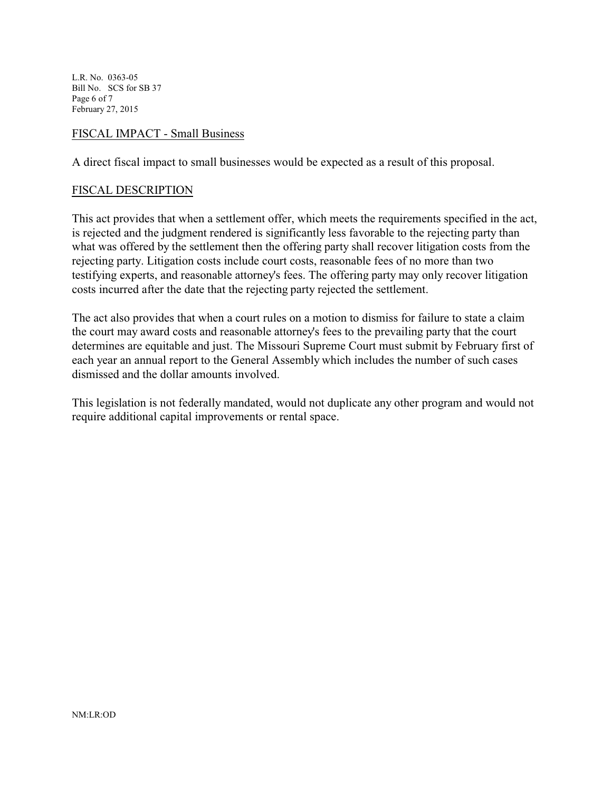L.R. No. 0363-05 Bill No. SCS for SB 37 Page 6 of 7 February 27, 2015

## FISCAL IMPACT - Small Business

A direct fiscal impact to small businesses would be expected as a result of this proposal.

## FISCAL DESCRIPTION

This act provides that when a settlement offer, which meets the requirements specified in the act, is rejected and the judgment rendered is significantly less favorable to the rejecting party than what was offered by the settlement then the offering party shall recover litigation costs from the rejecting party. Litigation costs include court costs, reasonable fees of no more than two testifying experts, and reasonable attorney's fees. The offering party may only recover litigation costs incurred after the date that the rejecting party rejected the settlement.

The act also provides that when a court rules on a motion to dismiss for failure to state a claim the court may award costs and reasonable attorney's fees to the prevailing party that the court determines are equitable and just. The Missouri Supreme Court must submit by February first of each year an annual report to the General Assembly which includes the number of such cases dismissed and the dollar amounts involved.

This legislation is not federally mandated, would not duplicate any other program and would not require additional capital improvements or rental space.